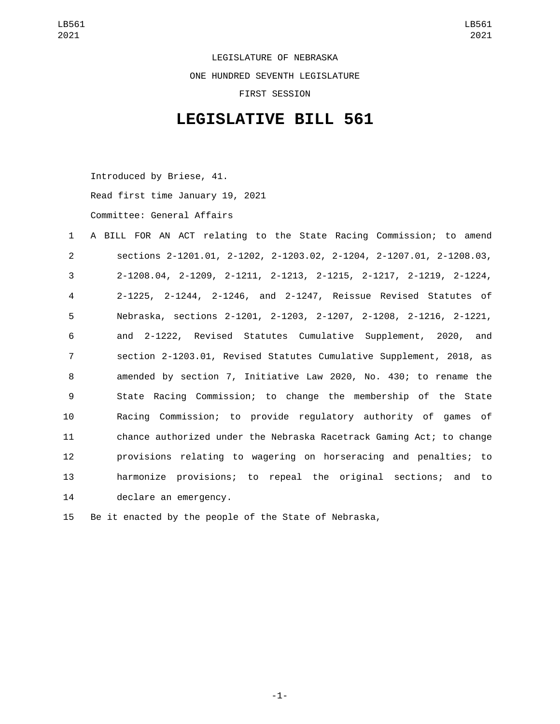LEGISLATURE OF NEBRASKA ONE HUNDRED SEVENTH LEGISLATURE FIRST SESSION

## **LEGISLATIVE BILL 561**

Introduced by Briese, 41. Read first time January 19, 2021 Committee: General Affairs

 A BILL FOR AN ACT relating to the State Racing Commission; to amend sections 2-1201.01, 2-1202, 2-1203.02, 2-1204, 2-1207.01, 2-1208.03, 2-1208.04, 2-1209, 2-1211, 2-1213, 2-1215, 2-1217, 2-1219, 2-1224, 2-1225, 2-1244, 2-1246, and 2-1247, Reissue Revised Statutes of Nebraska, sections 2-1201, 2-1203, 2-1207, 2-1208, 2-1216, 2-1221, and 2-1222, Revised Statutes Cumulative Supplement, 2020, and section 2-1203.01, Revised Statutes Cumulative Supplement, 2018, as amended by section 7, Initiative Law 2020, No. 430; to rename the State Racing Commission; to change the membership of the State Racing Commission; to provide regulatory authority of games of chance authorized under the Nebraska Racetrack Gaming Act; to change provisions relating to wagering on horseracing and penalties; to harmonize provisions; to repeal the original sections; and to 14 declare an emergency.

15 Be it enacted by the people of the State of Nebraska,

-1-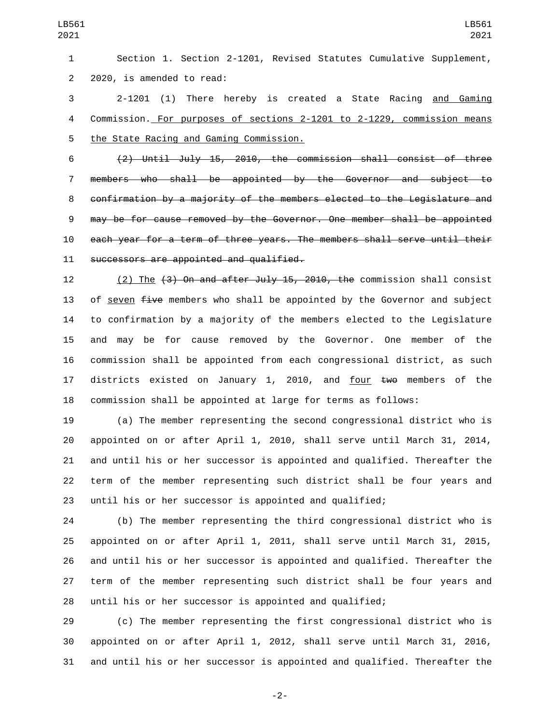Section 1. Section 2-1201, Revised Statutes Cumulative Supplement, 2 2020, is amended to read:

 2-1201 (1) There hereby is created a State Racing and Gaming Commission. For purposes of sections 2-1201 to 2-1229, commission means 5 the State Racing and Gaming Commission.

 (2) Until July 15, 2010, the commission shall consist of three members who shall be appointed by the Governor and subject to confirmation by a majority of the members elected to the Legislature and may be for cause removed by the Governor. One member shall be appointed each year for a term of three years. The members shall serve until their 11 successors are appointed and qualified.

 (2) The (3) On and after July 15, 2010, the commission shall consist 13 of seven  $f$ ive members who shall be appointed by the Governor and subject to confirmation by a majority of the members elected to the Legislature and may be for cause removed by the Governor. One member of the commission shall be appointed from each congressional district, as such 17 districts existed on January 1, 2010, and four two members of the commission shall be appointed at large for terms as follows:

 (a) The member representing the second congressional district who is appointed on or after April 1, 2010, shall serve until March 31, 2014, and until his or her successor is appointed and qualified. Thereafter the term of the member representing such district shall be four years and until his or her successor is appointed and qualified;

 (b) The member representing the third congressional district who is appointed on or after April 1, 2011, shall serve until March 31, 2015, and until his or her successor is appointed and qualified. Thereafter the term of the member representing such district shall be four years and until his or her successor is appointed and qualified;

 (c) The member representing the first congressional district who is appointed on or after April 1, 2012, shall serve until March 31, 2016, and until his or her successor is appointed and qualified. Thereafter the

-2-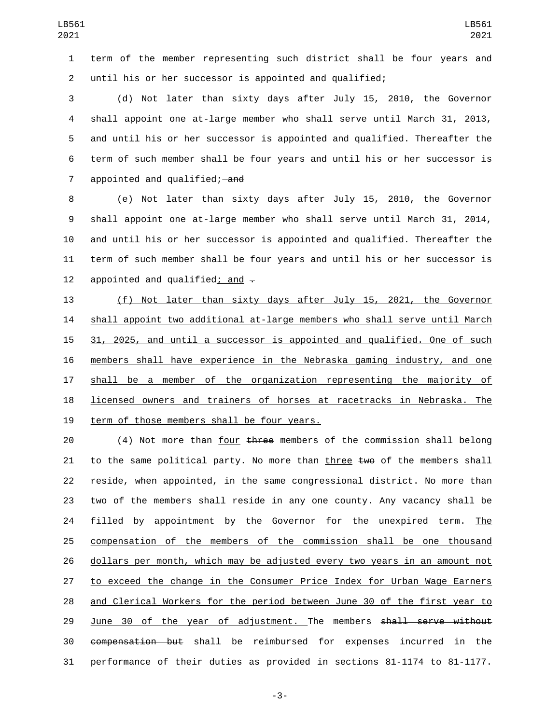term of the member representing such district shall be four years and until his or her successor is appointed and qualified;

 (d) Not later than sixty days after July 15, 2010, the Governor shall appoint one at-large member who shall serve until March 31, 2013, and until his or her successor is appointed and qualified. Thereafter the term of such member shall be four years and until his or her successor is 7 appointed and qualified; and

 (e) Not later than sixty days after July 15, 2010, the Governor shall appoint one at-large member who shall serve until March 31, 2014, and until his or her successor is appointed and qualified. Thereafter the term of such member shall be four years and until his or her successor is 12 appointed and qualified; and  $-$ 

 (f) Not later than sixty days after July 15, 2021, the Governor shall appoint two additional at-large members who shall serve until March 31, 2025, and until a successor is appointed and qualified. One of such members shall have experience in the Nebraska gaming industry, and one 17 shall be a member of the organization representing the majority of licensed owners and trainers of horses at racetracks in Nebraska. The 19 term of those members shall be four years.

 $(4)$  Not more than four three members of the commission shall belong 21 to the same political party. No more than three  $two$  of the members shall reside, when appointed, in the same congressional district. No more than two of the members shall reside in any one county. Any vacancy shall be 24 filled by appointment by the Governor for the unexpired term. The compensation of the members of the commission shall be one thousand dollars per month, which may be adjusted every two years in an amount not to exceed the change in the Consumer Price Index for Urban Wage Earners and Clerical Workers for the period between June 30 of the first year to 29 June 30 of the year of adjustment. The members shall serve without compensation but shall be reimbursed for expenses incurred in the performance of their duties as provided in sections 81-1174 to 81-1177.

-3-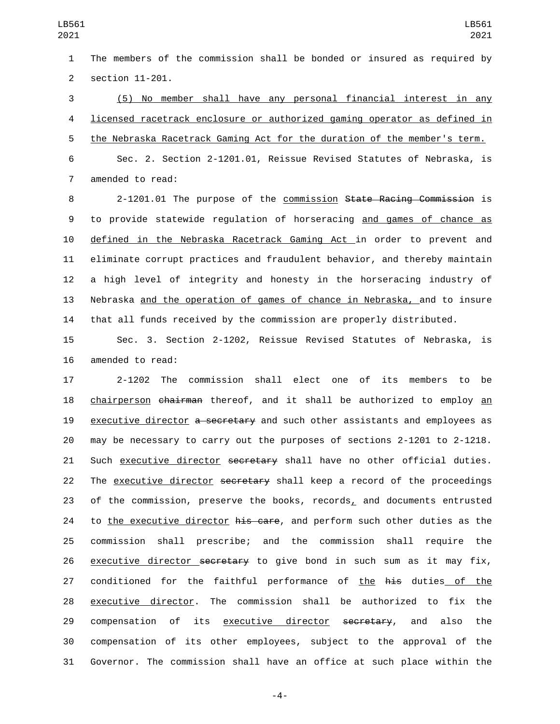The members of the commission shall be bonded or insured as required by 2 section 11-201.

 (5) No member shall have any personal financial interest in any licensed racetrack enclosure or authorized gaming operator as defined in the Nebraska Racetrack Gaming Act for the duration of the member's term. Sec. 2. Section 2-1201.01, Reissue Revised Statutes of Nebraska, is

7 amended to read:

 2-1201.01 The purpose of the commission State Racing Commission is to provide statewide regulation of horseracing and games of chance as defined in the Nebraska Racetrack Gaming Act in order to prevent and eliminate corrupt practices and fraudulent behavior, and thereby maintain a high level of integrity and honesty in the horseracing industry of Nebraska and the operation of games of chance in Nebraska, and to insure that all funds received by the commission are properly distributed.

 Sec. 3. Section 2-1202, Reissue Revised Statutes of Nebraska, is 16 amended to read:

 2-1202 The commission shall elect one of its members to be 18 chairperson chairman thereof, and it shall be authorized to employ an 19 executive director a secretary and such other assistants and employees as may be necessary to carry out the purposes of sections 2-1201 to 2-1218. 21 Such executive director secretary shall have no other official duties. 22 The executive director secretary shall keep a record of the proceedings of the commission, preserve the books, records, and documents entrusted 24 to the executive director his care, and perform such other duties as the commission shall prescribe; and the commission shall require the 26 executive director secretary to give bond in such sum as it may fix, 27 conditioned for the faithful performance of the his duties of the executive director. The commission shall be authorized to fix the 29 compensation of its executive director secretary, and also the compensation of its other employees, subject to the approval of the Governor. The commission shall have an office at such place within the

-4-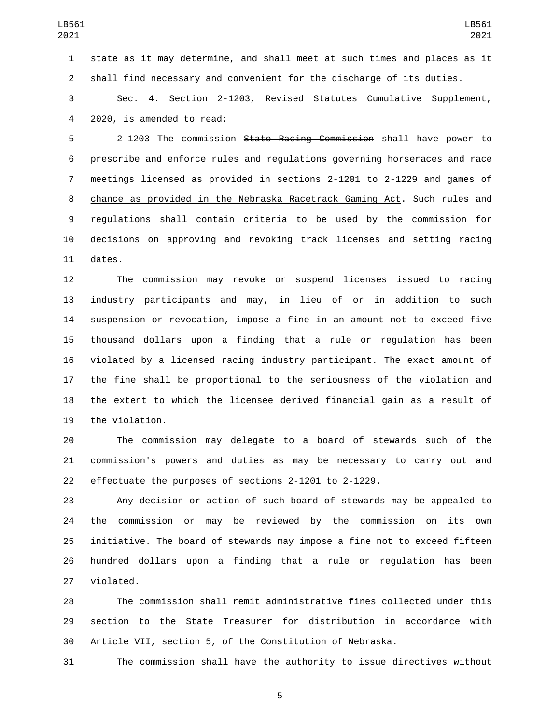1 state as it may determine<sub> $\tau$ </sub> and shall meet at such times and places as it shall find necessary and convenient for the discharge of its duties.

 Sec. 4. Section 2-1203, Revised Statutes Cumulative Supplement, 4 2020, is amended to read:

 2-1203 The commission State Racing Commission shall have power to prescribe and enforce rules and regulations governing horseraces and race meetings licensed as provided in sections 2-1201 to 2-1229 and games of chance as provided in the Nebraska Racetrack Gaming Act. Such rules and regulations shall contain criteria to be used by the commission for decisions on approving and revoking track licenses and setting racing 11 dates.

 The commission may revoke or suspend licenses issued to racing industry participants and may, in lieu of or in addition to such suspension or revocation, impose a fine in an amount not to exceed five thousand dollars upon a finding that a rule or regulation has been violated by a licensed racing industry participant. The exact amount of the fine shall be proportional to the seriousness of the violation and the extent to which the licensee derived financial gain as a result of 19 the violation.

 The commission may delegate to a board of stewards such of the commission's powers and duties as may be necessary to carry out and effectuate the purposes of sections 2-1201 to 2-1229.

 Any decision or action of such board of stewards may be appealed to the commission or may be reviewed by the commission on its own initiative. The board of stewards may impose a fine not to exceed fifteen hundred dollars upon a finding that a rule or regulation has been 27 violated.

 The commission shall remit administrative fines collected under this section to the State Treasurer for distribution in accordance with Article VII, section 5, of the Constitution of Nebraska.

The commission shall have the authority to issue directives without

-5-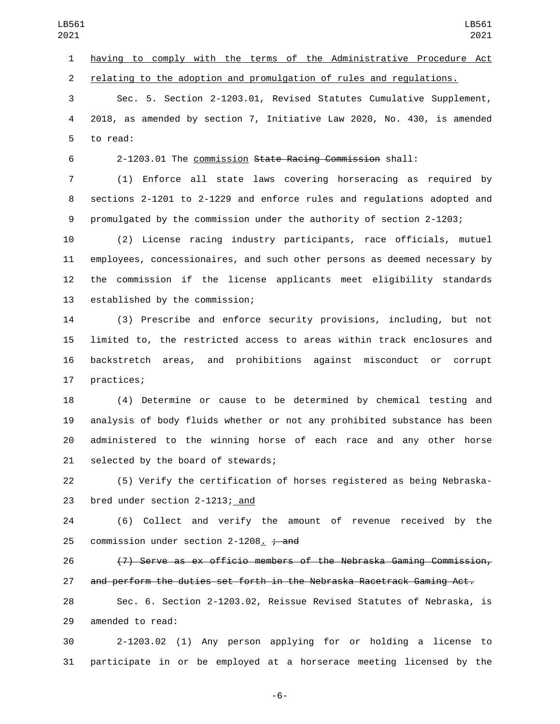having to comply with the terms of the Administrative Procedure Act relating to the adoption and promulgation of rules and regulations.

 Sec. 5. Section 2-1203.01, Revised Statutes Cumulative Supplement, 2018, as amended by section 7, Initiative Law 2020, No. 430, is amended 5 to read:

2-1203.01 The commission State Racing Commission shall:

 (1) Enforce all state laws covering horseracing as required by sections 2-1201 to 2-1229 and enforce rules and regulations adopted and promulgated by the commission under the authority of section 2-1203;

 (2) License racing industry participants, race officials, mutuel employees, concessionaires, and such other persons as deemed necessary by the commission if the license applicants meet eligibility standards 13 established by the commission;

 (3) Prescribe and enforce security provisions, including, but not limited to, the restricted access to areas within track enclosures and backstretch areas, and prohibitions against misconduct or corrupt 17 practices;

 (4) Determine or cause to be determined by chemical testing and analysis of body fluids whether or not any prohibited substance has been administered to the winning horse of each race and any other horse 21 selected by the board of stewards;

 (5) Verify the certification of horses registered as being Nebraska-23 bred under section 2-1213; and

 (6) Collect and verify the amount of revenue received by the 25 commission under section 2-1208.  $\div$  and

 (7) Serve as ex officio members of the Nebraska Gaming Commission, and perform the duties set forth in the Nebraska Racetrack Gaming Act.

 Sec. 6. Section 2-1203.02, Reissue Revised Statutes of Nebraska, is 29 amended to read:

 2-1203.02 (1) Any person applying for or holding a license to participate in or be employed at a horserace meeting licensed by the

-6-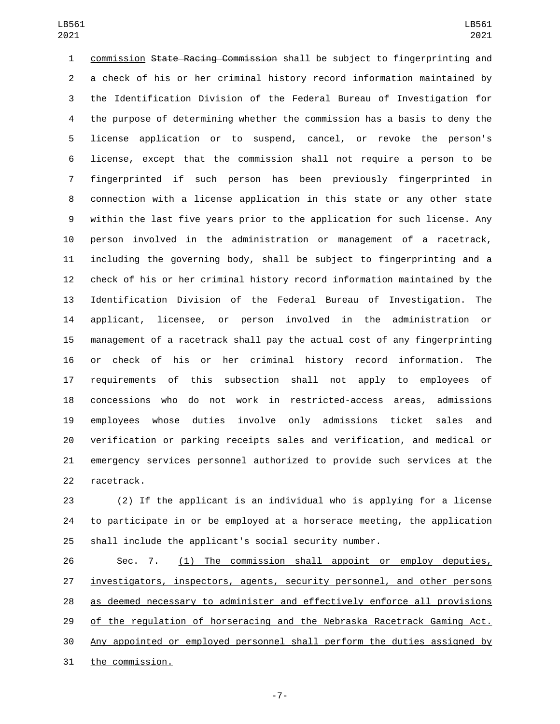commission State Racing Commission shall be subject to fingerprinting and a check of his or her criminal history record information maintained by the Identification Division of the Federal Bureau of Investigation for the purpose of determining whether the commission has a basis to deny the license application or to suspend, cancel, or revoke the person's license, except that the commission shall not require a person to be fingerprinted if such person has been previously fingerprinted in connection with a license application in this state or any other state within the last five years prior to the application for such license. Any person involved in the administration or management of a racetrack, including the governing body, shall be subject to fingerprinting and a check of his or her criminal history record information maintained by the Identification Division of the Federal Bureau of Investigation. The applicant, licensee, or person involved in the administration or management of a racetrack shall pay the actual cost of any fingerprinting or check of his or her criminal history record information. The requirements of this subsection shall not apply to employees of concessions who do not work in restricted-access areas, admissions employees whose duties involve only admissions ticket sales and verification or parking receipts sales and verification, and medical or emergency services personnel authorized to provide such services at the 22 racetrack.

 (2) If the applicant is an individual who is applying for a license to participate in or be employed at a horserace meeting, the application shall include the applicant's social security number.

 Sec. 7. (1) The commission shall appoint or employ deputies, investigators, inspectors, agents, security personnel, and other persons as deemed necessary to administer and effectively enforce all provisions 29 of the regulation of horseracing and the Nebraska Racetrack Gaming Act. Any appointed or employed personnel shall perform the duties assigned by 31 the commission.

-7-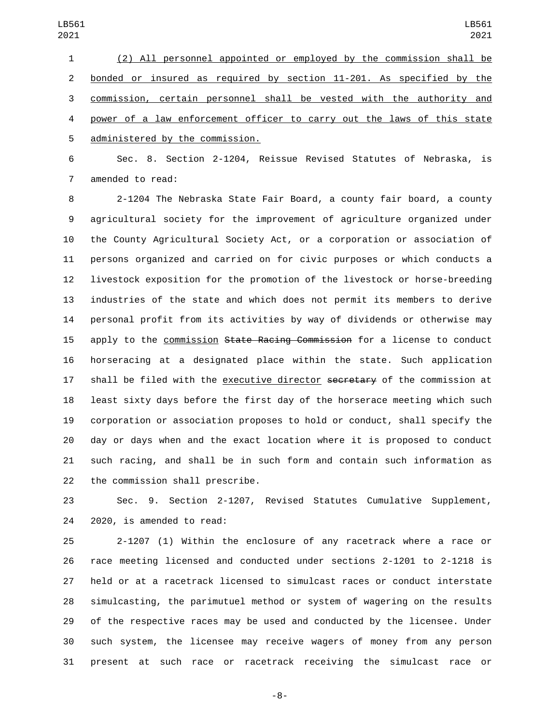(2) All personnel appointed or employed by the commission shall be bonded or insured as required by section 11-201. As specified by the commission, certain personnel shall be vested with the authority and power of a law enforcement officer to carry out the laws of this state 5 administered by the commission.

 Sec. 8. Section 2-1204, Reissue Revised Statutes of Nebraska, is 7 amended to read:

 2-1204 The Nebraska State Fair Board, a county fair board, a county agricultural society for the improvement of agriculture organized under the County Agricultural Society Act, or a corporation or association of persons organized and carried on for civic purposes or which conducts a livestock exposition for the promotion of the livestock or horse-breeding industries of the state and which does not permit its members to derive personal profit from its activities by way of dividends or otherwise may 15 apply to the commission State Racing Commission for a license to conduct horseracing at a designated place within the state. Such application 17 shall be filed with the executive director secretary of the commission at least sixty days before the first day of the horserace meeting which such corporation or association proposes to hold or conduct, shall specify the day or days when and the exact location where it is proposed to conduct such racing, and shall be in such form and contain such information as 22 the commission shall prescribe.

 Sec. 9. Section 2-1207, Revised Statutes Cumulative Supplement, 24 2020, is amended to read:

 2-1207 (1) Within the enclosure of any racetrack where a race or race meeting licensed and conducted under sections 2-1201 to 2-1218 is held or at a racetrack licensed to simulcast races or conduct interstate simulcasting, the parimutuel method or system of wagering on the results of the respective races may be used and conducted by the licensee. Under such system, the licensee may receive wagers of money from any person present at such race or racetrack receiving the simulcast race or

-8-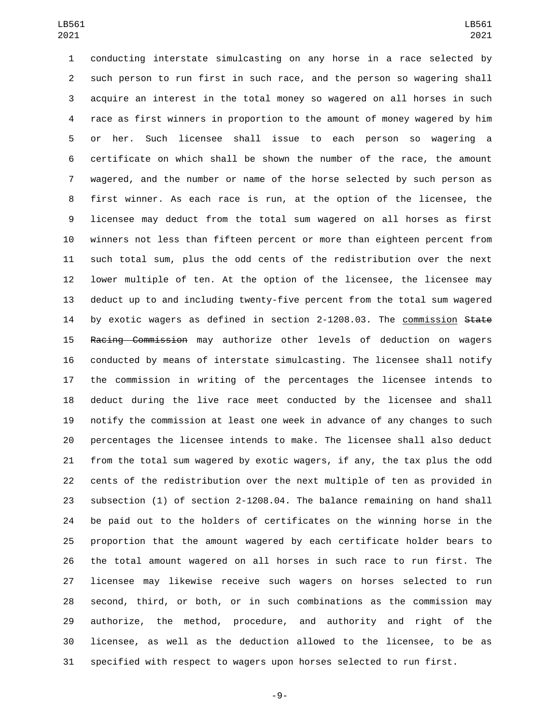conducting interstate simulcasting on any horse in a race selected by such person to run first in such race, and the person so wagering shall acquire an interest in the total money so wagered on all horses in such race as first winners in proportion to the amount of money wagered by him or her. Such licensee shall issue to each person so wagering a certificate on which shall be shown the number of the race, the amount wagered, and the number or name of the horse selected by such person as first winner. As each race is run, at the option of the licensee, the licensee may deduct from the total sum wagered on all horses as first winners not less than fifteen percent or more than eighteen percent from such total sum, plus the odd cents of the redistribution over the next lower multiple of ten. At the option of the licensee, the licensee may deduct up to and including twenty-five percent from the total sum wagered 14 by exotic wagers as defined in section 2-1208.03. The commission State Racing Commission may authorize other levels of deduction on wagers conducted by means of interstate simulcasting. The licensee shall notify the commission in writing of the percentages the licensee intends to deduct during the live race meet conducted by the licensee and shall notify the commission at least one week in advance of any changes to such percentages the licensee intends to make. The licensee shall also deduct from the total sum wagered by exotic wagers, if any, the tax plus the odd cents of the redistribution over the next multiple of ten as provided in subsection (1) of section 2-1208.04. The balance remaining on hand shall be paid out to the holders of certificates on the winning horse in the proportion that the amount wagered by each certificate holder bears to the total amount wagered on all horses in such race to run first. The licensee may likewise receive such wagers on horses selected to run second, third, or both, or in such combinations as the commission may authorize, the method, procedure, and authority and right of the licensee, as well as the deduction allowed to the licensee, to be as specified with respect to wagers upon horses selected to run first.

-9-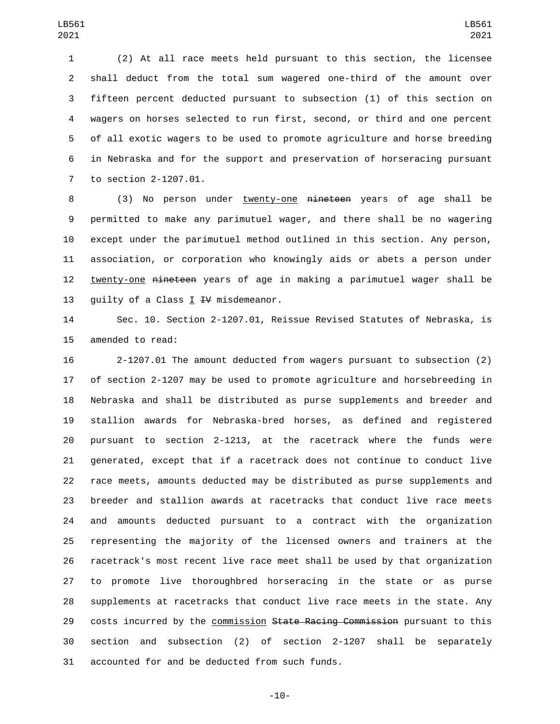(2) At all race meets held pursuant to this section, the licensee shall deduct from the total sum wagered one-third of the amount over fifteen percent deducted pursuant to subsection (1) of this section on wagers on horses selected to run first, second, or third and one percent of all exotic wagers to be used to promote agriculture and horse breeding in Nebraska and for the support and preservation of horseracing pursuant 7 to section 2-1207.01.

8 (3) No person under twenty-one nineteen years of age shall be permitted to make any parimutuel wager, and there shall be no wagering except under the parimutuel method outlined in this section. Any person, association, or corporation who knowingly aids or abets a person under twenty-one nineteen years of age in making a parimutuel wager shall be 13 guilty of a Class  $I$  IV misdemeanor.

 Sec. 10. Section 2-1207.01, Reissue Revised Statutes of Nebraska, is 15 amended to read:

 2-1207.01 The amount deducted from wagers pursuant to subsection (2) of section 2-1207 may be used to promote agriculture and horsebreeding in Nebraska and shall be distributed as purse supplements and breeder and stallion awards for Nebraska-bred horses, as defined and registered pursuant to section 2-1213, at the racetrack where the funds were generated, except that if a racetrack does not continue to conduct live race meets, amounts deducted may be distributed as purse supplements and breeder and stallion awards at racetracks that conduct live race meets and amounts deducted pursuant to a contract with the organization representing the majority of the licensed owners and trainers at the racetrack's most recent live race meet shall be used by that organization to promote live thoroughbred horseracing in the state or as purse supplements at racetracks that conduct live race meets in the state. Any 29 costs incurred by the commission State Racing Commission pursuant to this section and subsection (2) of section 2-1207 shall be separately 31 accounted for and be deducted from such funds.

-10-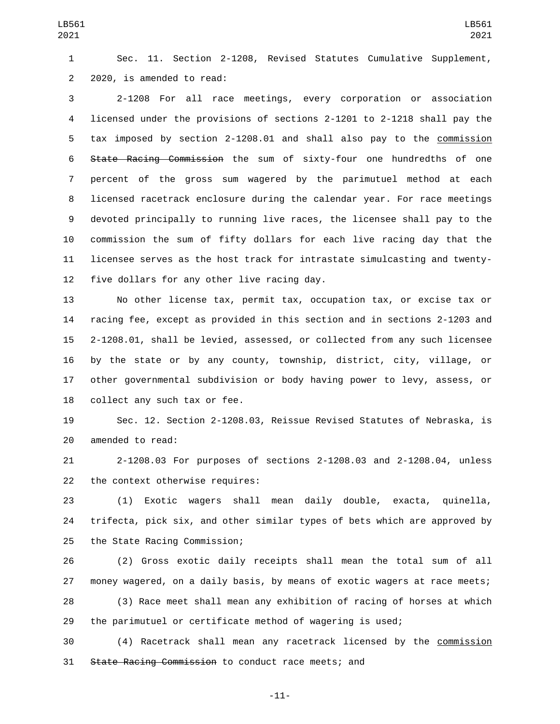Sec. 11. Section 2-1208, Revised Statutes Cumulative Supplement, 2 2020, is amended to read:

 2-1208 For all race meetings, every corporation or association licensed under the provisions of sections 2-1201 to 2-1218 shall pay the tax imposed by section 2-1208.01 and shall also pay to the commission State Racing Commission the sum of sixty-four one hundredths of one percent of the gross sum wagered by the parimutuel method at each licensed racetrack enclosure during the calendar year. For race meetings devoted principally to running live races, the licensee shall pay to the commission the sum of fifty dollars for each live racing day that the licensee serves as the host track for intrastate simulcasting and twenty-12 five dollars for any other live racing day.

 No other license tax, permit tax, occupation tax, or excise tax or racing fee, except as provided in this section and in sections 2-1203 and 2-1208.01, shall be levied, assessed, or collected from any such licensee by the state or by any county, township, district, city, village, or other governmental subdivision or body having power to levy, assess, or 18 collect any such tax or fee.

 Sec. 12. Section 2-1208.03, Reissue Revised Statutes of Nebraska, is 20 amended to read:

 2-1208.03 For purposes of sections 2-1208.03 and 2-1208.04, unless 22 the context otherwise requires:

 (1) Exotic wagers shall mean daily double, exacta, quinella, trifecta, pick six, and other similar types of bets which are approved by 25 the State Racing Commission;

 (2) Gross exotic daily receipts shall mean the total sum of all money wagered, on a daily basis, by means of exotic wagers at race meets;

 (3) Race meet shall mean any exhibition of racing of horses at which the parimutuel or certificate method of wagering is used;

 (4) Racetrack shall mean any racetrack licensed by the commission State Racing Commission to conduct race meets; and

-11-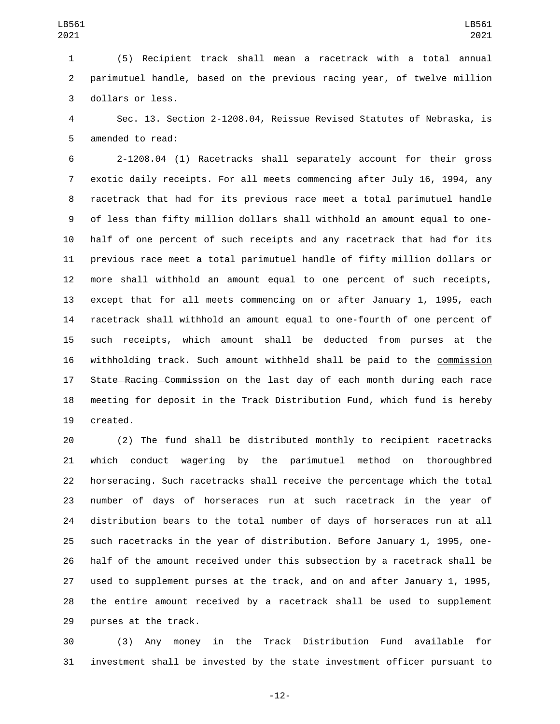(5) Recipient track shall mean a racetrack with a total annual parimutuel handle, based on the previous racing year, of twelve million 3 dollars or less.

 Sec. 13. Section 2-1208.04, Reissue Revised Statutes of Nebraska, is 5 amended to read:

 2-1208.04 (1) Racetracks shall separately account for their gross exotic daily receipts. For all meets commencing after July 16, 1994, any racetrack that had for its previous race meet a total parimutuel handle of less than fifty million dollars shall withhold an amount equal to one- half of one percent of such receipts and any racetrack that had for its previous race meet a total parimutuel handle of fifty million dollars or more shall withhold an amount equal to one percent of such receipts, except that for all meets commencing on or after January 1, 1995, each racetrack shall withhold an amount equal to one-fourth of one percent of such receipts, which amount shall be deducted from purses at the withholding track. Such amount withheld shall be paid to the commission 17 State Racing Commission on the last day of each month during each race meeting for deposit in the Track Distribution Fund, which fund is hereby 19 created.

 (2) The fund shall be distributed monthly to recipient racetracks which conduct wagering by the parimutuel method on thoroughbred horseracing. Such racetracks shall receive the percentage which the total number of days of horseraces run at such racetrack in the year of distribution bears to the total number of days of horseraces run at all such racetracks in the year of distribution. Before January 1, 1995, one- half of the amount received under this subsection by a racetrack shall be used to supplement purses at the track, and on and after January 1, 1995, the entire amount received by a racetrack shall be used to supplement 29 purses at the track.

 (3) Any money in the Track Distribution Fund available for investment shall be invested by the state investment officer pursuant to

-12-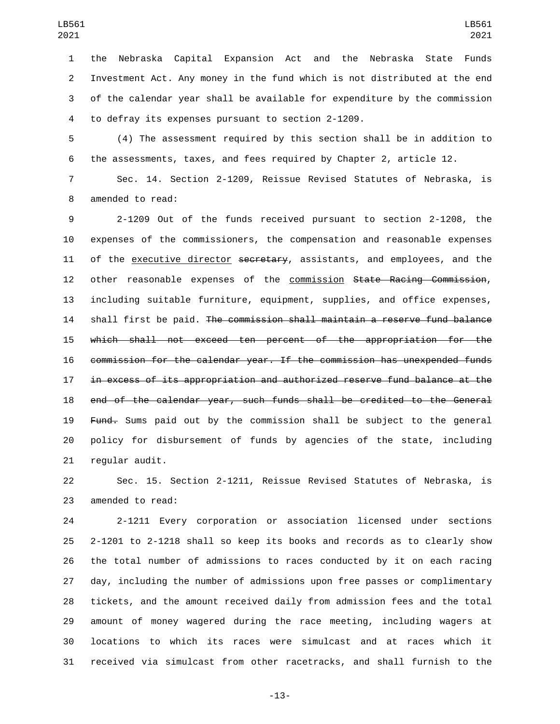the Nebraska Capital Expansion Act and the Nebraska State Funds Investment Act. Any money in the fund which is not distributed at the end of the calendar year shall be available for expenditure by the commission 4 to defray its expenses pursuant to section 2-1209.

 (4) The assessment required by this section shall be in addition to the assessments, taxes, and fees required by Chapter 2, article 12.

 Sec. 14. Section 2-1209, Reissue Revised Statutes of Nebraska, is 8 amended to read:

 2-1209 Out of the funds received pursuant to section 2-1208, the expenses of the commissioners, the compensation and reasonable expenses 11 of the executive director secretary, assistants, and employees, and the 12 other reasonable expenses of the commission State Racing Commission, including suitable furniture, equipment, supplies, and office expenses, shall first be paid. The commission shall maintain a reserve fund balance which shall not exceed ten percent of the appropriation for the commission for the calendar year. If the commission has unexpended funds in excess of its appropriation and authorized reserve fund balance at the end of the calendar year, such funds shall be credited to the General 19 Fund. Sums paid out by the commission shall be subject to the general policy for disbursement of funds by agencies of the state, including 21 regular audit.

 Sec. 15. Section 2-1211, Reissue Revised Statutes of Nebraska, is 23 amended to read:

 2-1211 Every corporation or association licensed under sections 2-1201 to 2-1218 shall so keep its books and records as to clearly show the total number of admissions to races conducted by it on each racing day, including the number of admissions upon free passes or complimentary tickets, and the amount received daily from admission fees and the total amount of money wagered during the race meeting, including wagers at locations to which its races were simulcast and at races which it received via simulcast from other racetracks, and shall furnish to the

-13-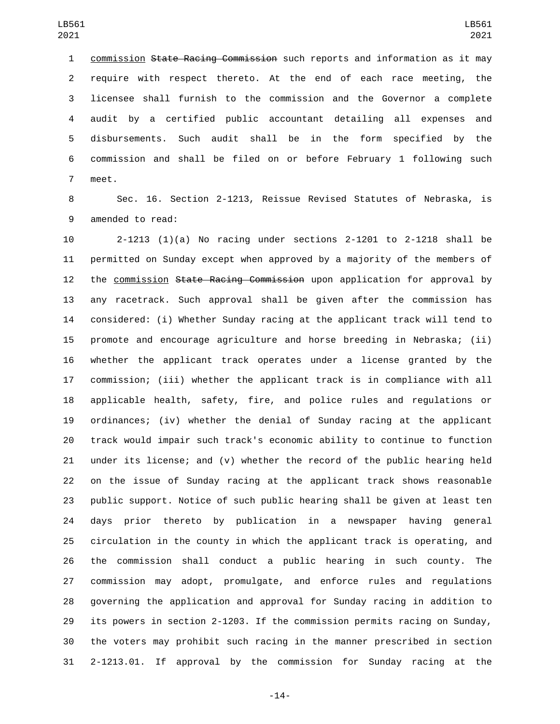commission State Racing Commission such reports and information as it may require with respect thereto. At the end of each race meeting, the licensee shall furnish to the commission and the Governor a complete audit by a certified public accountant detailing all expenses and disbursements. Such audit shall be in the form specified by the commission and shall be filed on or before February 1 following such 7 meet.

 Sec. 16. Section 2-1213, Reissue Revised Statutes of Nebraska, is 9 amended to read:

 2-1213 (1)(a) No racing under sections 2-1201 to 2-1218 shall be permitted on Sunday except when approved by a majority of the members of 12 the commission State Racing Commission upon application for approval by any racetrack. Such approval shall be given after the commission has considered: (i) Whether Sunday racing at the applicant track will tend to promote and encourage agriculture and horse breeding in Nebraska; (ii) whether the applicant track operates under a license granted by the commission; (iii) whether the applicant track is in compliance with all applicable health, safety, fire, and police rules and regulations or ordinances; (iv) whether the denial of Sunday racing at the applicant track would impair such track's economic ability to continue to function under its license; and (v) whether the record of the public hearing held on the issue of Sunday racing at the applicant track shows reasonable public support. Notice of such public hearing shall be given at least ten days prior thereto by publication in a newspaper having general circulation in the county in which the applicant track is operating, and the commission shall conduct a public hearing in such county. The commission may adopt, promulgate, and enforce rules and regulations governing the application and approval for Sunday racing in addition to its powers in section 2-1203. If the commission permits racing on Sunday, the voters may prohibit such racing in the manner prescribed in section 2-1213.01. If approval by the commission for Sunday racing at the

-14-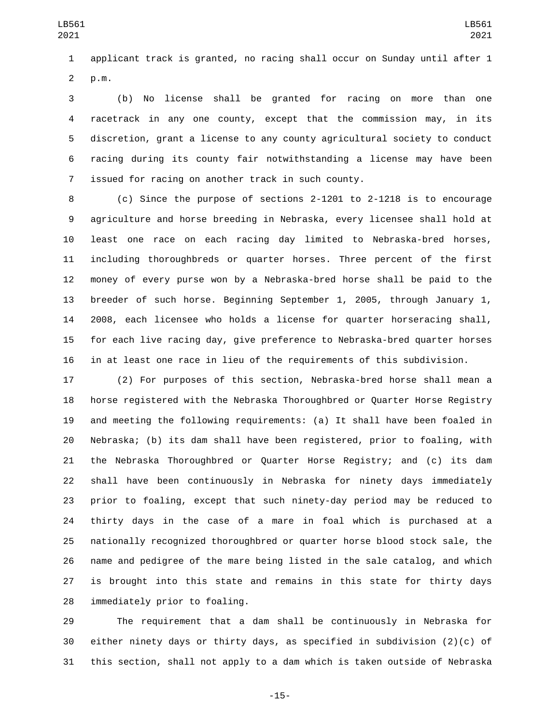applicant track is granted, no racing shall occur on Sunday until after 1 p.m.2

 (b) No license shall be granted for racing on more than one racetrack in any one county, except that the commission may, in its discretion, grant a license to any county agricultural society to conduct racing during its county fair notwithstanding a license may have been 7 issued for racing on another track in such county.

 (c) Since the purpose of sections 2-1201 to 2-1218 is to encourage agriculture and horse breeding in Nebraska, every licensee shall hold at least one race on each racing day limited to Nebraska-bred horses, including thoroughbreds or quarter horses. Three percent of the first money of every purse won by a Nebraska-bred horse shall be paid to the breeder of such horse. Beginning September 1, 2005, through January 1, 2008, each licensee who holds a license for quarter horseracing shall, for each live racing day, give preference to Nebraska-bred quarter horses in at least one race in lieu of the requirements of this subdivision.

 (2) For purposes of this section, Nebraska-bred horse shall mean a horse registered with the Nebraska Thoroughbred or Quarter Horse Registry and meeting the following requirements: (a) It shall have been foaled in Nebraska; (b) its dam shall have been registered, prior to foaling, with the Nebraska Thoroughbred or Quarter Horse Registry; and (c) its dam shall have been continuously in Nebraska for ninety days immediately prior to foaling, except that such ninety-day period may be reduced to thirty days in the case of a mare in foal which is purchased at a nationally recognized thoroughbred or quarter horse blood stock sale, the name and pedigree of the mare being listed in the sale catalog, and which is brought into this state and remains in this state for thirty days 28 immediately prior to foaling.

 The requirement that a dam shall be continuously in Nebraska for either ninety days or thirty days, as specified in subdivision (2)(c) of this section, shall not apply to a dam which is taken outside of Nebraska

-15-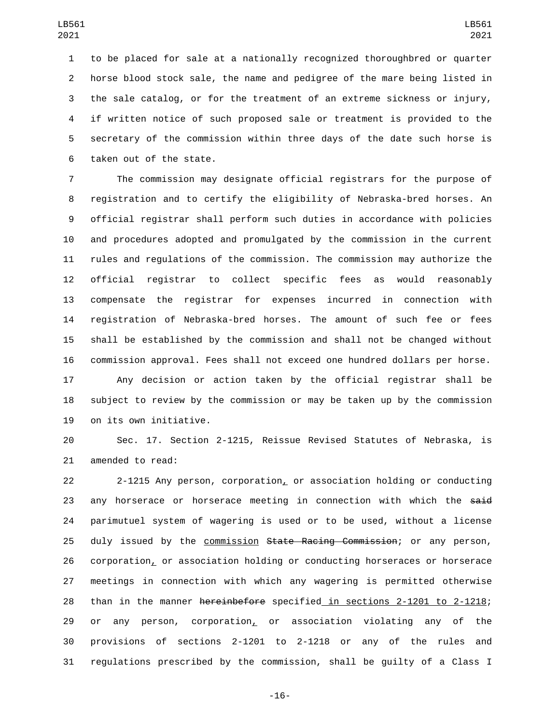to be placed for sale at a nationally recognized thoroughbred or quarter horse blood stock sale, the name and pedigree of the mare being listed in the sale catalog, or for the treatment of an extreme sickness or injury, if written notice of such proposed sale or treatment is provided to the secretary of the commission within three days of the date such horse is 6 taken out of the state.

 The commission may designate official registrars for the purpose of registration and to certify the eligibility of Nebraska-bred horses. An official registrar shall perform such duties in accordance with policies and procedures adopted and promulgated by the commission in the current rules and regulations of the commission. The commission may authorize the official registrar to collect specific fees as would reasonably compensate the registrar for expenses incurred in connection with registration of Nebraska-bred horses. The amount of such fee or fees shall be established by the commission and shall not be changed without commission approval. Fees shall not exceed one hundred dollars per horse.

 Any decision or action taken by the official registrar shall be subject to review by the commission or may be taken up by the commission 19 on its own initiative.

 Sec. 17. Section 2-1215, Reissue Revised Statutes of Nebraska, is 21 amended to read:

 2-1215 Any person, corporation, or association holding or conducting 23 any horserace or horserace meeting in connection with which the said parimutuel system of wagering is used or to be used, without a license 25 duly issued by the commission State Racing Commission; or any person, corporation, or association holding or conducting horseraces or horserace meetings in connection with which any wagering is permitted otherwise than in the manner hereinbefore specified in sections 2-1201 to 2-1218; 29 or any person, corporation<sub> $\sim$ </sub> or association violating any of the provisions of sections 2-1201 to 2-1218 or any of the rules and regulations prescribed by the commission, shall be guilty of a Class I

-16-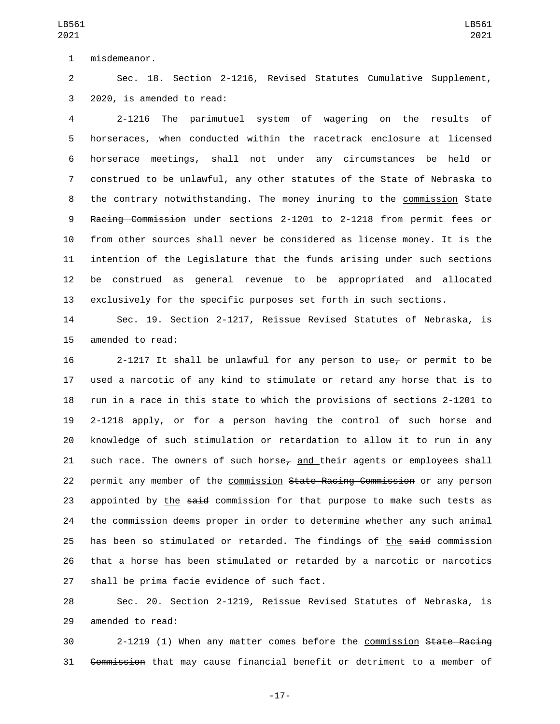1 misdemeanor.

 Sec. 18. Section 2-1216, Revised Statutes Cumulative Supplement, 3 2020, is amended to read:

 2-1216 The parimutuel system of wagering on the results of horseraces, when conducted within the racetrack enclosure at licensed horserace meetings, shall not under any circumstances be held or construed to be unlawful, any other statutes of the State of Nebraska to 8 the contrary notwithstanding. The money inuring to the commission State Racing Commission under sections 2-1201 to 2-1218 from permit fees or from other sources shall never be considered as license money. It is the intention of the Legislature that the funds arising under such sections be construed as general revenue to be appropriated and allocated exclusively for the specific purposes set forth in such sections.

 Sec. 19. Section 2-1217, Reissue Revised Statutes of Nebraska, is 15 amended to read:

16 2-1217 It shall be unlawful for any person to use<sub> $\tau$ </sub> or permit to be used a narcotic of any kind to stimulate or retard any horse that is to run in a race in this state to which the provisions of sections 2-1201 to 2-1218 apply, or for a person having the control of such horse and knowledge of such stimulation or retardation to allow it to run in any 21 such race. The owners of such horse<sub> $\tau$ </sub> and their agents or employees shall 22 permit any member of the commission State Racing Commission or any person 23 appointed by the said commission for that purpose to make such tests as the commission deems proper in order to determine whether any such animal 25 has been so stimulated or retarded. The findings of the said commission that a horse has been stimulated or retarded by a narcotic or narcotics 27 shall be prima facie evidence of such fact.

 Sec. 20. Section 2-1219, Reissue Revised Statutes of Nebraska, is 29 amended to read:

 2-1219 (1) When any matter comes before the commission State Racing Commission that may cause financial benefit or detriment to a member of

-17-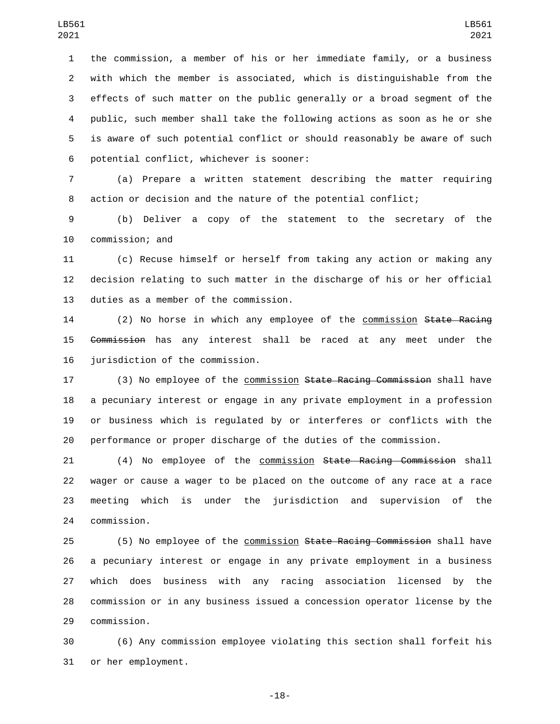the commission, a member of his or her immediate family, or a business with which the member is associated, which is distinguishable from the effects of such matter on the public generally or a broad segment of the public, such member shall take the following actions as soon as he or she is aware of such potential conflict or should reasonably be aware of such 6 potential conflict, whichever is sooner:

 (a) Prepare a written statement describing the matter requiring action or decision and the nature of the potential conflict;

 (b) Deliver a copy of the statement to the secretary of the 10 commission; and

 (c) Recuse himself or herself from taking any action or making any decision relating to such matter in the discharge of his or her official 13 duties as a member of the commission.

14 (2) No horse in which any employee of the commission State Racing Commission has any interest shall be raced at any meet under the 16 jurisdiction of the commission.

17 (3) No employee of the commission State Racing Commission shall have a pecuniary interest or engage in any private employment in a profession or business which is regulated by or interferes or conflicts with the performance or proper discharge of the duties of the commission.

 (4) No employee of the commission State Racing Commission shall wager or cause a wager to be placed on the outcome of any race at a race meeting which is under the jurisdiction and supervision of the 24 commission.

 (5) No employee of the commission State Racing Commission shall have a pecuniary interest or engage in any private employment in a business which does business with any racing association licensed by the commission or in any business issued a concession operator license by the 29 commission.

 (6) Any commission employee violating this section shall forfeit his 31 or her employment.

-18-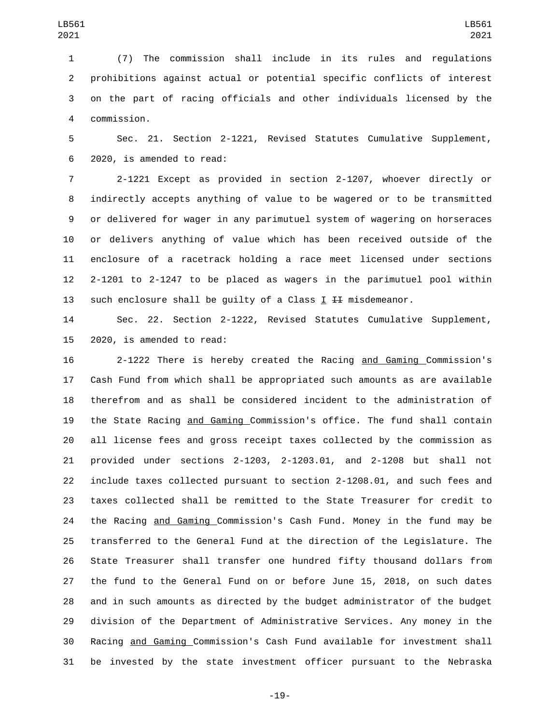(7) The commission shall include in its rules and regulations prohibitions against actual or potential specific conflicts of interest on the part of racing officials and other individuals licensed by the commission.4

 Sec. 21. Section 2-1221, Revised Statutes Cumulative Supplement, 6 2020, is amended to read:

 2-1221 Except as provided in section 2-1207, whoever directly or indirectly accepts anything of value to be wagered or to be transmitted or delivered for wager in any parimutuel system of wagering on horseraces or delivers anything of value which has been received outside of the enclosure of a racetrack holding a race meet licensed under sections 2-1201 to 2-1247 to be placed as wagers in the parimutuel pool within 13 such enclosure shall be guilty of a Class  $I$   $I$   $I$  misdemeanor.

 Sec. 22. Section 2-1222, Revised Statutes Cumulative Supplement, 2020, is amended to read:

 2-1222 There is hereby created the Racing and Gaming Commission's Cash Fund from which shall be appropriated such amounts as are available therefrom and as shall be considered incident to the administration of the State Racing and Gaming Commission's office. The fund shall contain all license fees and gross receipt taxes collected by the commission as provided under sections 2-1203, 2-1203.01, and 2-1208 but shall not include taxes collected pursuant to section 2-1208.01, and such fees and taxes collected shall be remitted to the State Treasurer for credit to the Racing and Gaming Commission's Cash Fund. Money in the fund may be transferred to the General Fund at the direction of the Legislature. The State Treasurer shall transfer one hundred fifty thousand dollars from the fund to the General Fund on or before June 15, 2018, on such dates and in such amounts as directed by the budget administrator of the budget division of the Department of Administrative Services. Any money in the Racing and Gaming Commission's Cash Fund available for investment shall be invested by the state investment officer pursuant to the Nebraska

-19-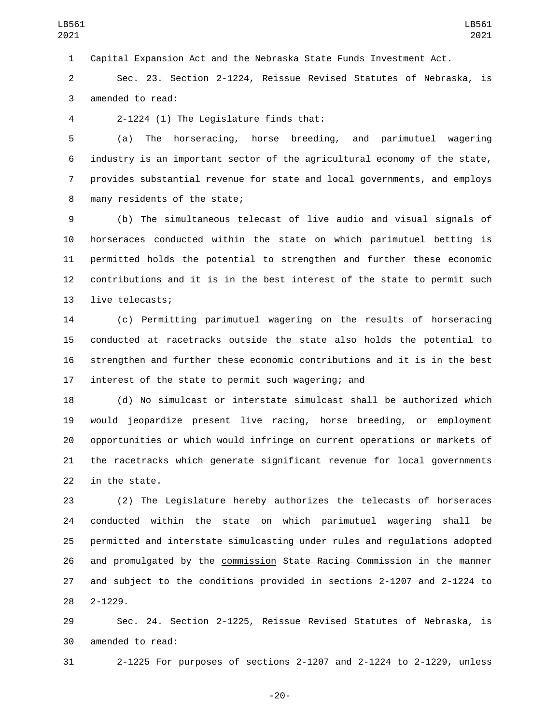Capital Expansion Act and the Nebraska State Funds Investment Act.

 Sec. 23. Section 2-1224, Reissue Revised Statutes of Nebraska, is 3 amended to read:

2-1224 (1) The Legislature finds that:4

 (a) The horseracing, horse breeding, and parimutuel wagering industry is an important sector of the agricultural economy of the state, provides substantial revenue for state and local governments, and employs 8 many residents of the state;

 (b) The simultaneous telecast of live audio and visual signals of horseraces conducted within the state on which parimutuel betting is permitted holds the potential to strengthen and further these economic contributions and it is in the best interest of the state to permit such 13 live telecasts;

 (c) Permitting parimutuel wagering on the results of horseracing conducted at racetracks outside the state also holds the potential to strengthen and further these economic contributions and it is in the best interest of the state to permit such wagering; and

 (d) No simulcast or interstate simulcast shall be authorized which would jeopardize present live racing, horse breeding, or employment opportunities or which would infringe on current operations or markets of the racetracks which generate significant revenue for local governments in the state.

 (2) The Legislature hereby authorizes the telecasts of horseraces conducted within the state on which parimutuel wagering shall be permitted and interstate simulcasting under rules and regulations adopted 26 and promulgated by the commission State Racing Commission in the manner and subject to the conditions provided in sections 2-1207 and 2-1224 to  $2 - 1229$ .

 Sec. 24. Section 2-1225, Reissue Revised Statutes of Nebraska, is 30 amended to read:

2-1225 For purposes of sections 2-1207 and 2-1224 to 2-1229, unless

-20-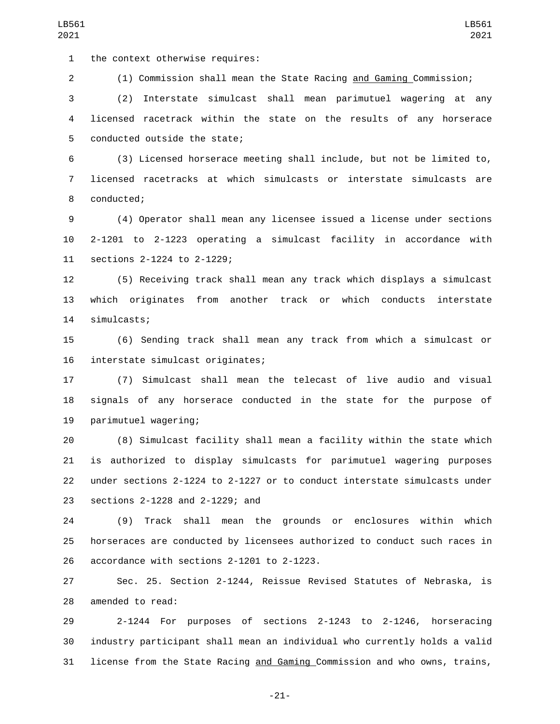1 the context otherwise requires:

(1) Commission shall mean the State Racing and Gaming Commission;

 (2) Interstate simulcast shall mean parimutuel wagering at any licensed racetrack within the state on the results of any horserace 5 conducted outside the state;

 (3) Licensed horserace meeting shall include, but not be limited to, licensed racetracks at which simulcasts or interstate simulcasts are 8 conducted;

 (4) Operator shall mean any licensee issued a license under sections 2-1201 to 2-1223 operating a simulcast facility in accordance with 11 sections 2-1224 to 2-1229;

 (5) Receiving track shall mean any track which displays a simulcast which originates from another track or which conducts interstate 14 simulcasts;

 (6) Sending track shall mean any track from which a simulcast or 16 interstate simulcast originates;

 (7) Simulcast shall mean the telecast of live audio and visual signals of any horserace conducted in the state for the purpose of 19 parimutuel wagering;

 (8) Simulcast facility shall mean a facility within the state which is authorized to display simulcasts for parimutuel wagering purposes under sections 2-1224 to 2-1227 or to conduct interstate simulcasts under 23 sections 2-1228 and 2-1229; and

 (9) Track shall mean the grounds or enclosures within which horseraces are conducted by licensees authorized to conduct such races in 26 accordance with sections 2-1201 to 2-1223.

 Sec. 25. Section 2-1244, Reissue Revised Statutes of Nebraska, is 28 amended to read:

 2-1244 For purposes of sections 2-1243 to 2-1246, horseracing industry participant shall mean an individual who currently holds a valid 31 license from the State Racing and Gaming Commission and who owns, trains,

-21-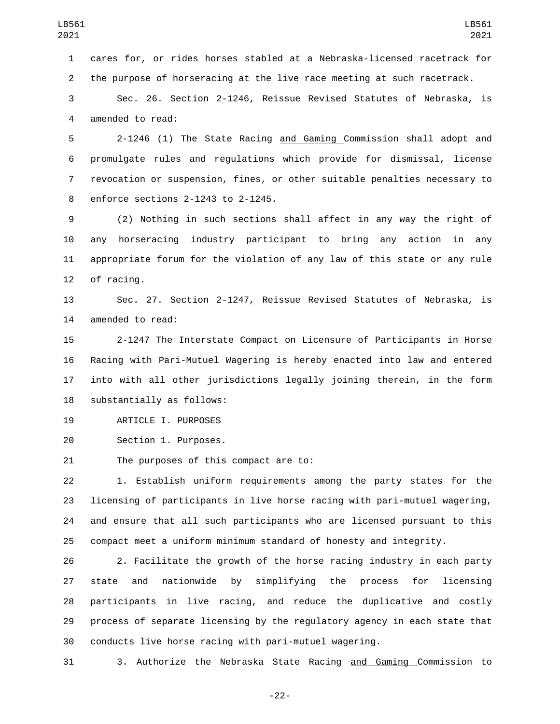cares for, or rides horses stabled at a Nebraska-licensed racetrack for the purpose of horseracing at the live race meeting at such racetrack.

 Sec. 26. Section 2-1246, Reissue Revised Statutes of Nebraska, is 4 amended to read:

 2-1246 (1) The State Racing and Gaming Commission shall adopt and promulgate rules and regulations which provide for dismissal, license revocation or suspension, fines, or other suitable penalties necessary to 8 enforce sections 2-1243 to 2-1245.

 (2) Nothing in such sections shall affect in any way the right of any horseracing industry participant to bring any action in any appropriate forum for the violation of any law of this state or any rule 12 of racing.

 Sec. 27. Section 2-1247, Reissue Revised Statutes of Nebraska, is 14 amended to read:

 2-1247 The Interstate Compact on Licensure of Participants in Horse Racing with Pari-Mutuel Wagering is hereby enacted into law and entered into with all other jurisdictions legally joining therein, in the form 18 substantially as follows:

19 ARTICLE I. PURPOSES

20 Section 1. Purposes.

21 The purposes of this compact are to:

 1. Establish uniform requirements among the party states for the licensing of participants in live horse racing with pari-mutuel wagering, and ensure that all such participants who are licensed pursuant to this compact meet a uniform minimum standard of honesty and integrity.

 2. Facilitate the growth of the horse racing industry in each party state and nationwide by simplifying the process for licensing participants in live racing, and reduce the duplicative and costly process of separate licensing by the regulatory agency in each state that conducts live horse racing with pari-mutuel wagering.

3. Authorize the Nebraska State Racing and Gaming Commission to

-22-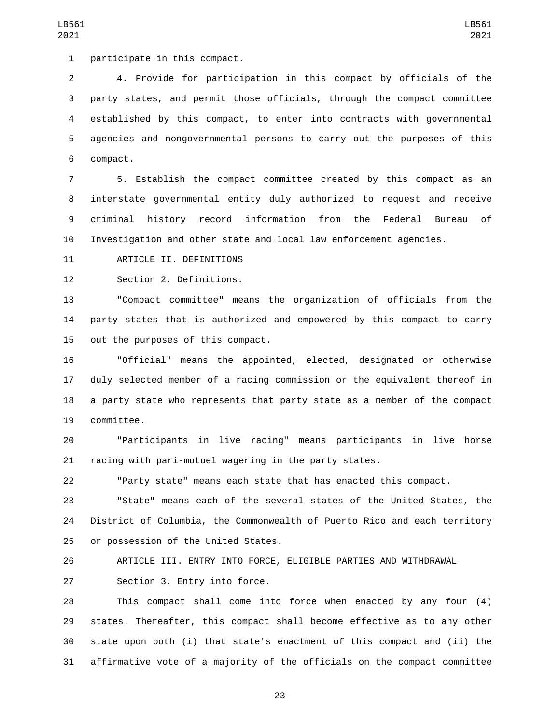4. Provide for participation in this compact by officials of the party states, and permit those officials, through the compact committee established by this compact, to enter into contracts with governmental agencies and nongovernmental persons to carry out the purposes of this 6 compact.

 5. Establish the compact committee created by this compact as an interstate governmental entity duly authorized to request and receive criminal history record information from the Federal Bureau of Investigation and other state and local law enforcement agencies.

11 ARTICLE II. DEFINITIONS

12 Section 2. Definitions.

 "Compact committee" means the organization of officials from the party states that is authorized and empowered by this compact to carry 15 out the purposes of this compact.

 "Official" means the appointed, elected, designated or otherwise duly selected member of a racing commission or the equivalent thereof in a party state who represents that party state as a member of the compact 19 committee.

 "Participants in live racing" means participants in live horse racing with pari-mutuel wagering in the party states.

"Party state" means each state that has enacted this compact.

 "State" means each of the several states of the United States, the District of Columbia, the Commonwealth of Puerto Rico and each territory 25 or possession of the United States.

ARTICLE III. ENTRY INTO FORCE, ELIGIBLE PARTIES AND WITHDRAWAL

27 Section 3. Entry into force.

 This compact shall come into force when enacted by any four (4) states. Thereafter, this compact shall become effective as to any other state upon both (i) that state's enactment of this compact and (ii) the affirmative vote of a majority of the officials on the compact committee

-23-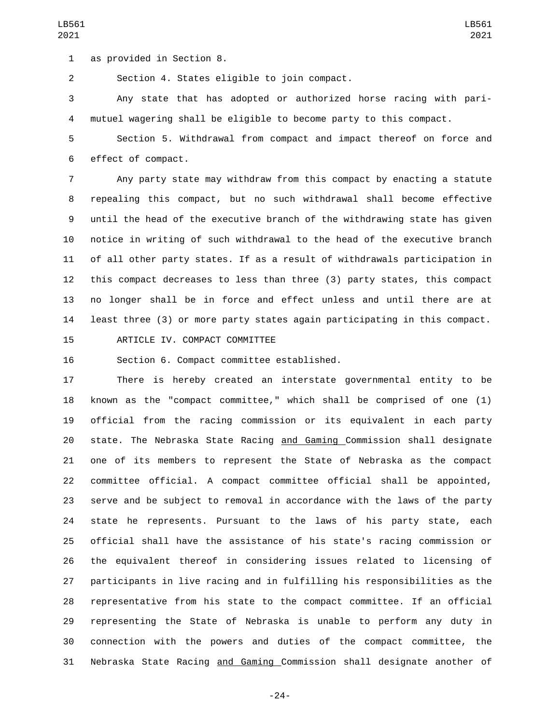1 as provided in Section 8.

2 Section 4. States eligible to join compact.

 Any state that has adopted or authorized horse racing with pari-mutuel wagering shall be eligible to become party to this compact.

 Section 5. Withdrawal from compact and impact thereof on force and 6 effect of compact.

 Any party state may withdraw from this compact by enacting a statute repealing this compact, but no such withdrawal shall become effective until the head of the executive branch of the withdrawing state has given notice in writing of such withdrawal to the head of the executive branch of all other party states. If as a result of withdrawals participation in this compact decreases to less than three (3) party states, this compact no longer shall be in force and effect unless and until there are at least three (3) or more party states again participating in this compact.

15 ARTICLE IV. COMPACT COMMITTEE

16 Section 6. Compact committee established.

 There is hereby created an interstate governmental entity to be known as the "compact committee," which shall be comprised of one (1) official from the racing commission or its equivalent in each party state. The Nebraska State Racing and Gaming Commission shall designate one of its members to represent the State of Nebraska as the compact committee official. A compact committee official shall be appointed, serve and be subject to removal in accordance with the laws of the party state he represents. Pursuant to the laws of his party state, each official shall have the assistance of his state's racing commission or the equivalent thereof in considering issues related to licensing of participants in live racing and in fulfilling his responsibilities as the representative from his state to the compact committee. If an official representing the State of Nebraska is unable to perform any duty in connection with the powers and duties of the compact committee, the Nebraska State Racing and Gaming Commission shall designate another of

-24-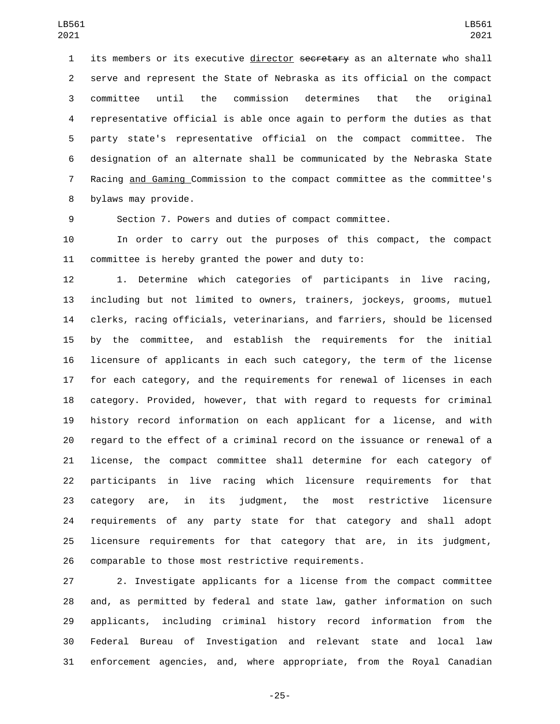1 its members or its executive director secretary as an alternate who shall serve and represent the State of Nebraska as its official on the compact committee until the commission determines that the original representative official is able once again to perform the duties as that party state's representative official on the compact committee. The designation of an alternate shall be communicated by the Nebraska State Racing and Gaming Commission to the compact committee as the committee's 8 bylaws may provide.

Section 7. Powers and duties of compact committee.

 In order to carry out the purposes of this compact, the compact committee is hereby granted the power and duty to:

 1. Determine which categories of participants in live racing, including but not limited to owners, trainers, jockeys, grooms, mutuel clerks, racing officials, veterinarians, and farriers, should be licensed by the committee, and establish the requirements for the initial licensure of applicants in each such category, the term of the license for each category, and the requirements for renewal of licenses in each category. Provided, however, that with regard to requests for criminal history record information on each applicant for a license, and with regard to the effect of a criminal record on the issuance or renewal of a license, the compact committee shall determine for each category of participants in live racing which licensure requirements for that category are, in its judgment, the most restrictive licensure requirements of any party state for that category and shall adopt licensure requirements for that category that are, in its judgment, comparable to those most restrictive requirements.

 2. Investigate applicants for a license from the compact committee and, as permitted by federal and state law, gather information on such applicants, including criminal history record information from the Federal Bureau of Investigation and relevant state and local law enforcement agencies, and, where appropriate, from the Royal Canadian

-25-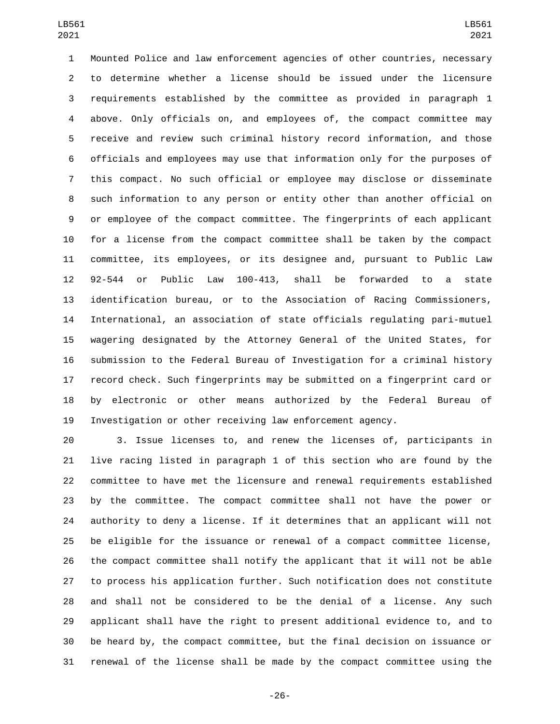Mounted Police and law enforcement agencies of other countries, necessary to determine whether a license should be issued under the licensure requirements established by the committee as provided in paragraph 1 above. Only officials on, and employees of, the compact committee may receive and review such criminal history record information, and those officials and employees may use that information only for the purposes of this compact. No such official or employee may disclose or disseminate such information to any person or entity other than another official on or employee of the compact committee. The fingerprints of each applicant for a license from the compact committee shall be taken by the compact committee, its employees, or its designee and, pursuant to Public Law 92-544 or Public Law 100-413, shall be forwarded to a state identification bureau, or to the Association of Racing Commissioners, International, an association of state officials regulating pari-mutuel wagering designated by the Attorney General of the United States, for submission to the Federal Bureau of Investigation for a criminal history record check. Such fingerprints may be submitted on a fingerprint card or by electronic or other means authorized by the Federal Bureau of Investigation or other receiving law enforcement agency.

 3. Issue licenses to, and renew the licenses of, participants in live racing listed in paragraph 1 of this section who are found by the committee to have met the licensure and renewal requirements established by the committee. The compact committee shall not have the power or authority to deny a license. If it determines that an applicant will not be eligible for the issuance or renewal of a compact committee license, the compact committee shall notify the applicant that it will not be able to process his application further. Such notification does not constitute and shall not be considered to be the denial of a license. Any such applicant shall have the right to present additional evidence to, and to be heard by, the compact committee, but the final decision on issuance or renewal of the license shall be made by the compact committee using the

-26-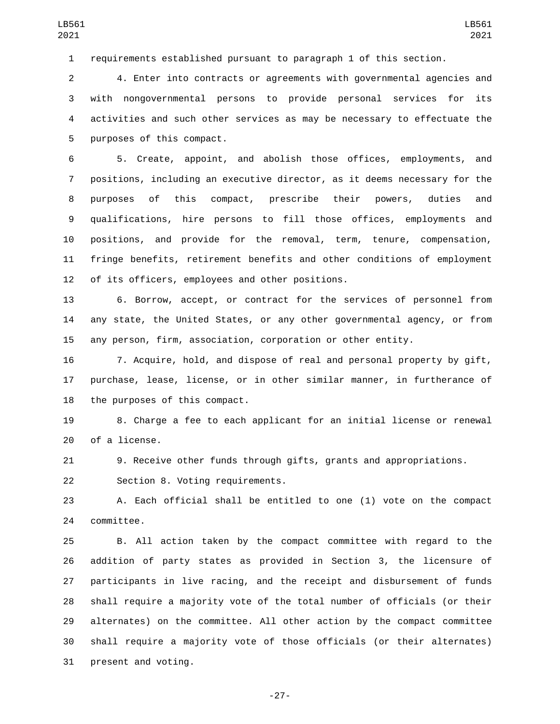requirements established pursuant to paragraph 1 of this section.

 4. Enter into contracts or agreements with governmental agencies and with nongovernmental persons to provide personal services for its activities and such other services as may be necessary to effectuate the 5 purposes of this compact.

 5. Create, appoint, and abolish those offices, employments, and positions, including an executive director, as it deems necessary for the purposes of this compact, prescribe their powers, duties and qualifications, hire persons to fill those offices, employments and positions, and provide for the removal, term, tenure, compensation, fringe benefits, retirement benefits and other conditions of employment 12 of its officers, employees and other positions.

 6. Borrow, accept, or contract for the services of personnel from any state, the United States, or any other governmental agency, or from any person, firm, association, corporation or other entity.

 7. Acquire, hold, and dispose of real and personal property by gift, purchase, lease, license, or in other similar manner, in furtherance of 18 the purposes of this compact.

 8. Charge a fee to each applicant for an initial license or renewal 20 of a license.

9. Receive other funds through gifts, grants and appropriations.

22 Section 8. Voting requirements.

 A. Each official shall be entitled to one (1) vote on the compact 24 committee.

 B. All action taken by the compact committee with regard to the addition of party states as provided in Section 3, the licensure of participants in live racing, and the receipt and disbursement of funds shall require a majority vote of the total number of officials (or their alternates) on the committee. All other action by the compact committee shall require a majority vote of those officials (or their alternates) 31 present and voting.

-27-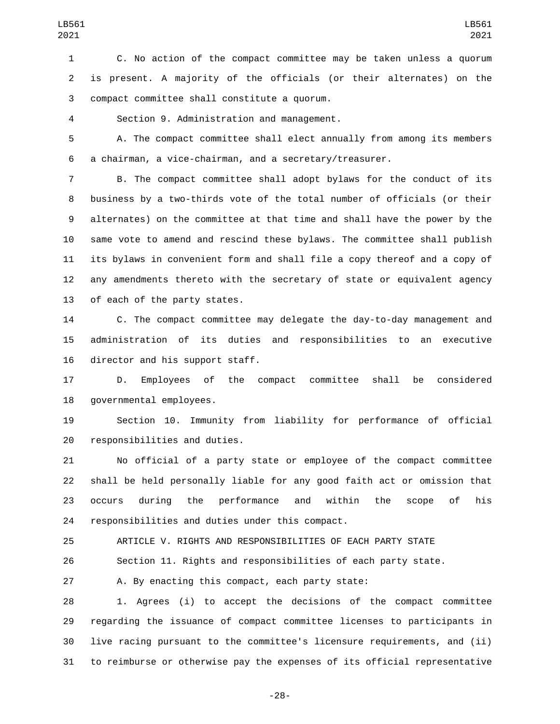C. No action of the compact committee may be taken unless a quorum is present. A majority of the officials (or their alternates) on the compact committee shall constitute a quorum.3

Section 9. Administration and management.4

 A. The compact committee shall elect annually from among its members a chairman, a vice-chairman, and a secretary/treasurer.

 B. The compact committee shall adopt bylaws for the conduct of its business by a two-thirds vote of the total number of officials (or their alternates) on the committee at that time and shall have the power by the same vote to amend and rescind these bylaws. The committee shall publish its bylaws in convenient form and shall file a copy thereof and a copy of any amendments thereto with the secretary of state or equivalent agency 13 of each of the party states.

 C. The compact committee may delegate the day-to-day management and administration of its duties and responsibilities to an executive 16 director and his support staff.

 D. Employees of the compact committee shall be considered 18 governmental employees.

 Section 10. Immunity from liability for performance of official 20 responsibilities and duties.

 No official of a party state or employee of the compact committee shall be held personally liable for any good faith act or omission that occurs during the performance and within the scope of his 24 responsibilities and duties under this compact.

ARTICLE V. RIGHTS AND RESPONSIBILITIES OF EACH PARTY STATE

Section 11. Rights and responsibilities of each party state.

A. By enacting this compact, each party state:

 1. Agrees (i) to accept the decisions of the compact committee regarding the issuance of compact committee licenses to participants in live racing pursuant to the committee's licensure requirements, and (ii) to reimburse or otherwise pay the expenses of its official representative

-28-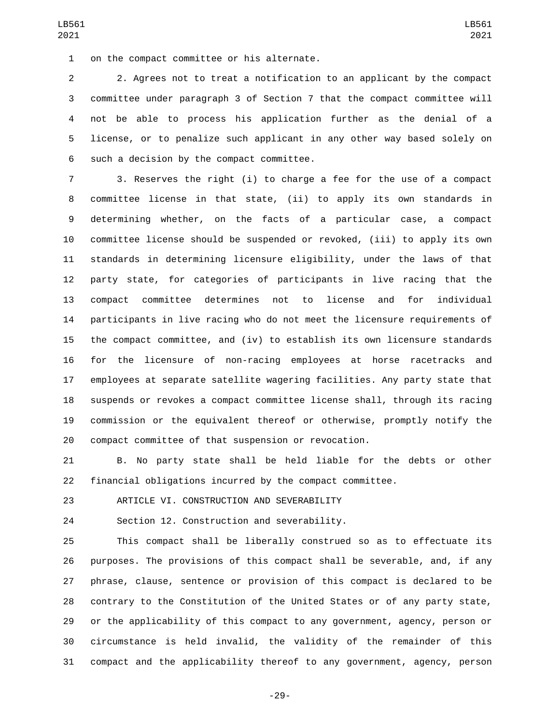1 on the compact committee or his alternate.

 2. Agrees not to treat a notification to an applicant by the compact committee under paragraph 3 of Section 7 that the compact committee will not be able to process his application further as the denial of a license, or to penalize such applicant in any other way based solely on 6 such a decision by the compact committee.

 3. Reserves the right (i) to charge a fee for the use of a compact committee license in that state, (ii) to apply its own standards in determining whether, on the facts of a particular case, a compact committee license should be suspended or revoked, (iii) to apply its own standards in determining licensure eligibility, under the laws of that party state, for categories of participants in live racing that the compact committee determines not to license and for individual participants in live racing who do not meet the licensure requirements of the compact committee, and (iv) to establish its own licensure standards for the licensure of non-racing employees at horse racetracks and employees at separate satellite wagering facilities. Any party state that suspends or revokes a compact committee license shall, through its racing commission or the equivalent thereof or otherwise, promptly notify the compact committee of that suspension or revocation.

 B. No party state shall be held liable for the debts or other financial obligations incurred by the compact committee.

23 ARTICLE VI. CONSTRUCTION AND SEVERABILITY

24 Section 12. Construction and severability.

 This compact shall be liberally construed so as to effectuate its purposes. The provisions of this compact shall be severable, and, if any phrase, clause, sentence or provision of this compact is declared to be contrary to the Constitution of the United States or of any party state, or the applicability of this compact to any government, agency, person or circumstance is held invalid, the validity of the remainder of this compact and the applicability thereof to any government, agency, person

-29-